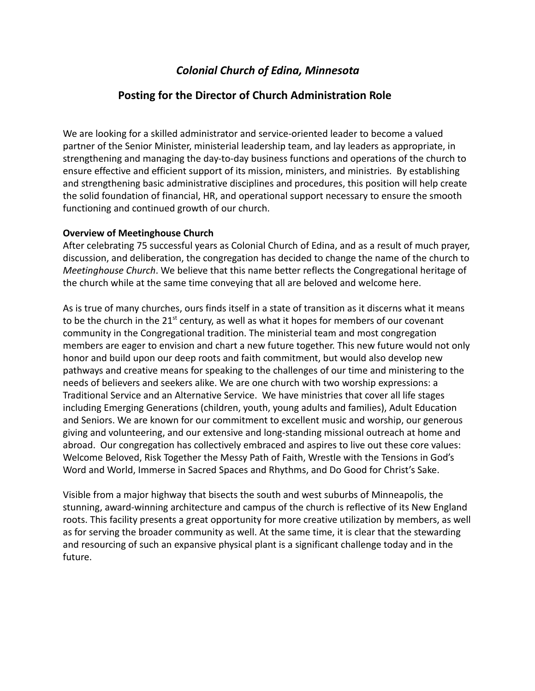# *Colonial Church of Edina, Minnesota*

# **Posting for the Director of Church Administration Role**

We are looking for a skilled administrator and service-oriented leader to become a valued partner of the Senior Minister, ministerial leadership team, and lay leaders as appropriate, in strengthening and managing the day-to-day business functions and operations of the church to ensure effective and efficient support of its mission, ministers, and ministries. By establishing and strengthening basic administrative disciplines and procedures, this position will help create the solid foundation of financial, HR, and operational support necessary to ensure the smooth functioning and continued growth of our church.

### **Overview of Meetinghouse Church**

After celebrating 75 successful years as Colonial Church of Edina, and as a result of much prayer, discussion, and deliberation, the congregation has decided to change the name of the church to *Meetinghouse Church*. We believe that this name better reflects the Congregational heritage of the church while at the same time conveying that all are beloved and welcome here.

As is true of many churches, ours finds itself in a state of transition as it discerns what it means to be the church in the  $21<sup>st</sup>$  century, as well as what it hopes for members of our covenant community in the Congregational tradition. The ministerial team and most congregation members are eager to envision and chart a new future together. This new future would not only honor and build upon our deep roots and faith commitment, but would also develop new pathways and creative means for speaking to the challenges of our time and ministering to the needs of believers and seekers alike. We are one church with two worship expressions: a Traditional Service and an Alternative Service. We have ministries that cover all life stages including Emerging Generations (children, youth, young adults and families), Adult Education and Seniors. We are known for our commitment to excellent music and worship, our generous giving and volunteering, and our extensive and long-standing missional outreach at home and abroad. Our congregation has collectively embraced and aspires to live out these core values: Welcome Beloved, Risk Together the Messy Path of Faith, Wrestle with the Tensions in God's Word and World, Immerse in Sacred Spaces and Rhythms, and Do Good for Christ's Sake.

Visible from a major highway that bisects the south and west suburbs of Minneapolis, the stunning, award-winning architecture and campus of the church is reflective of its New England roots. This facility presents a great opportunity for more creative utilization by members, as well as for serving the broader community as well. At the same time, it is clear that the stewarding and resourcing of such an expansive physical plant is a significant challenge today and in the future.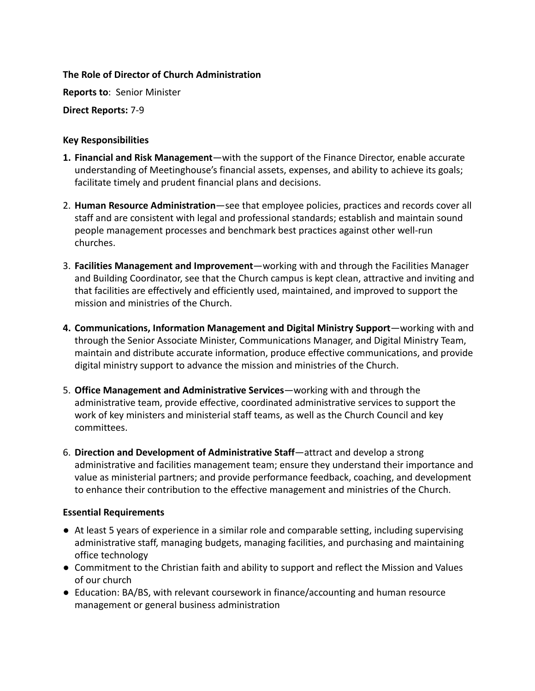## **The Role of Director of Church Administration**

**Reports to**: Senior Minister

**Direct Reports:** 7-9

## **Key Responsibilities**

- **1. Financial and Risk Management**—with the support of the Finance Director, enable accurate understanding of Meetinghouse's financial assets, expenses, and ability to achieve its goals; facilitate timely and prudent financial plans and decisions.
- 2. **Human Resource Administration**—see that employee policies, practices and records cover all staff and are consistent with legal and professional standards; establish and maintain sound people management processes and benchmark best practices against other well-run churches.
- 3. **Facilities Management and Improvement**—working with and through the Facilities Manager and Building Coordinator, see that the Church campus is kept clean, attractive and inviting and that facilities are effectively and efficiently used, maintained, and improved to support the mission and ministries of the Church.
- **4. Communications, Information Management and Digital Ministry Support**—working with and through the Senior Associate Minister, Communications Manager, and Digital Ministry Team, maintain and distribute accurate information, produce effective communications, and provide digital ministry support to advance the mission and ministries of the Church.
- 5. **Office Management and Administrative Services**—working with and through the administrative team, provide effective, coordinated administrative services to support the work of key ministers and ministerial staff teams, as well as the Church Council and key committees.
- 6. **Direction and Development of Administrative Staff**—attract and develop a strong administrative and facilities management team; ensure they understand their importance and value as ministerial partners; and provide performance feedback, coaching, and development to enhance their contribution to the effective management and ministries of the Church.

## **Essential Requirements**

- At least 5 years of experience in a similar role and comparable setting, including supervising administrative staff, managing budgets, managing facilities, and purchasing and maintaining office technology
- Commitment to the Christian faith and ability to support and reflect the Mission and Values of our church
- Education: BA/BS, with relevant coursework in finance/accounting and human resource management or general business administration